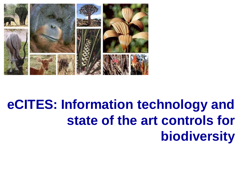

# **eCITES: Information technology and state of the art controls for biodiversity**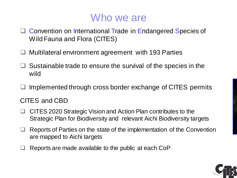### Who we are

- **□ Convention on International Trade in Endangered Species of** Wild Fauna and Flora (CITES)
- Multilateral environment agreement with 193 Parties
- $\Box$  Sustainable trade to ensure the survival of the species in the wild
- Implemented through cross border exchange of CITES permits

#### CITES and CBD

- **□ CITES 2020 Strategic Vision and Action Plan contributes to the** Strategic Plan for Biodiversity and relevant Aichi Biodiversity targets
- $\Box$  Reports of Parties on the state of the implementation of the Convention are mapped to Aichi targets
- Reports are made available to the public at each CoP

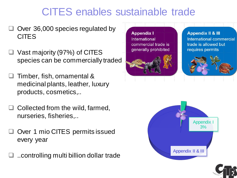## CITES enables sustainable trade

- Over 36,000 species regulated by **CITES**
- Vast majority (97%) of CITES species can be commercially traded
- Timber, fish, ornamental & medicinal plants, leather, luxury products, cosmetics,..
- $\Box$  Collected from the wild, farmed, nurseries, fisheries,..
- Over 1 mio CITES permits issued every year
- ..controlling multi billion dollar trade





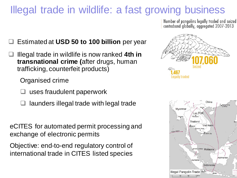### Illegal trade in wildlife: a fast growing business

Estimated at **USD 50 to 100 billion** per year

 Illegal trade in wildlife is now ranked **4th in transnational crime (**after drugs, human trafficking, counterfeit products)

Organised crime

- uses fraudulent paperwork
- launders illegal trade with legal trade

eCITES for automated permit processing and exchange of electronic permits

Objective: end-to-end regulatory control of international trade in CITES listed species

Number of pangolins legally traded and seized contraband globally, aggregated 2007-2013



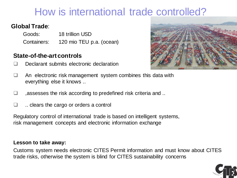### How is international trade controlled?

#### **Global Trade**:

Goods: 18 trillion USD Containers: 120 mio TEU p.a. (ocean)

#### **State-of-the-art controls**

Declarant submits electronic declaration



- $\Box$  An electronic risk management system combines this data with everything else it knows ..
- ,assesses the risk according to predefined risk criteria and ..
- .. clears the cargo or orders a control

Regulatory control of international trade is based on intelligent systems, risk management concepts and electronic information exchange

#### **Lesson to take away:**

Customs system needs electronic CITES Permit information and must know about CITES trade risks, otherwise the system is blind for CITES sustainability concerns

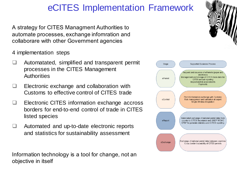### eCITES Implementation Framework

A strategy for CITES Managment Authorities to automate processes, exchange infomration and collaborare with other Government agencies

- 4 implementation steps
- $\Box$  Automatated, simplified and transparent permit processes in the CITES Management **Authorities**
- $\Box$  Electronic exchange and collaboration with Customs to effective control of CITES trade
- $\Box$  Electronic CITES information exchange accross borders for end-to-end control of trade in CITES listed species
- □ Automated and up-to-date electronic reports and statistics for sustainability assessment

Information technology is a tool for change, not an objective in itself

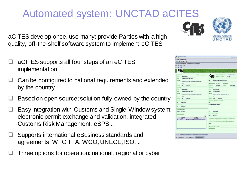### Automated system: UNCTAD aCITES

aCITES develop once, use many: provide Parties with a high quality, off-the-shelf software system to implement eCITES

- aCITES supports all four steps of an eCITES implementation
- $\Box$  Can be configured to national requirements and extended by the country
- Based on open source; solution fully owned by the country
- Easy integration with Customs and Single Window system: electronic permit exchange and validation, integrated Customs Risk Management, eSPS,..
- Supports international eBusiness standards and agreements: WTO TFA, WCO, UNECE, ISO, ..
- Three options for operation: national, regional or cyber





| File View Window Holo<br>3707E                                                                                                                                       |                                                                                                                                                                                                            |
|----------------------------------------------------------------------------------------------------------------------------------------------------------------------|------------------------------------------------------------------------------------------------------------------------------------------------------------------------------------------------------------|
| 1 Live Animals or Animal Parts or Products - View (CEC)<br>File Edit View Help<br>AT B D                                                                             |                                                                                                                                                                                                            |
|                                                                                                                                                                      |                                                                                                                                                                                                            |
| <b>APPLICANT</b><br>- Reprosectative pers<br>630230340607<br>Code                                                                                                    | CHCEC2016800831<br>PERMIT/CERTIFICATE No.<br><b>APL1001</b><br>Reference reacher                                                                                                                           |
| TENNIS LINE SOL TESTTEST<br><b>Hame</b><br>Antress<br>BRING DISTRICT TEST ACCRESS KLOSTERSKA 1                                                                       | Cartificate<br>crc<br><b>CITES Export Permit (Organisations)</b>                                                                                                                                           |
| 75369<br>Phone                                                                                                                                                       | Application duta 12/01/2016<br>leasing date                                                                                                                                                                |
| CH<br><b>Detaurierd</b><br>Country.                                                                                                                                  | 12/01/2016<br>2001/2015<br><b>Valid from</b><br><b>VARIE 16</b>                                                                                                                                            |
| <b>EXPORTER</b><br>600230340007<br>Code<br>TENNIS LINE SOL TESTTEST<br>Harve<br>Aptress<br>BRIKO DISTRIKT TEST ADDRESS KLOSTERSKA 1<br>75269<br>Placeak              | <b>MFCRTER</b><br>693230770001<br>Code<br>START OD DOO<br><b>Navign</b><br>Address<br>BRAKO DISTRIKT SIN MJEGOTEVA 14<br>a.<br>Phone                                                                       |
| Switzerland<br>œ<br>Country<br>Exporting-export country<br><b>Switzerbund</b><br>CH                                                                                  | Uzbehäuten<br>w<br>Country<br>ISSUING MANAGEMENT AUTHORITY<br>MA.                                                                                                                                          |
| <b>Import country</b><br>uz<br><b>Unbehinden</b><br>Authorised location<br>UZDIK BUKHARA                                                                             | CITES Menagement Authority<br>Ganeva<br><b>Switzerland</b><br>CH                                                                                                                                           |
| <b>Baselel conclitions</b><br>ы<br>Concition<br>Condition<br>Code<br><b>Description</b><br>3P1<br>If for Eve animals, this pensit or certificate is val<br>$\bullet$ | Document issuing place<br>CHATT PRATTELN                                                                                                                                                                   |
|                                                                                                                                                                      | The (re)-export documentation from the country of (re)-exportation.<br>in Has been surendered to the langing authority<br>has to be nonendered to border customs office of introduction<br><b>D</b> etails |
|                                                                                                                                                                      | <b>Bill of loadingAir waybill No</b><br><b>Document type</b>                                                                                                                                               |
| General CITES application Hemis) Administrations Interventions, Est                                                                                                  |                                                                                                                                                                                                            |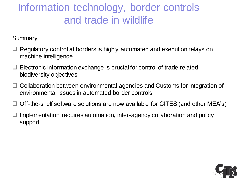# Information technology, border controls and trade in wildlife

Summary:

- □ Regulatory control at borders is highly automated and execution relays on machine intelligence
- $\Box$  Electronic information exchange is crucial for control of trade related biodiversity objectives
- □ Collaboration between environmental agencies and Customs for integration of environmental issues in automated border controls
- □ Off-the-shelf software solutions are now available for CITES (and other MEA's)
- $\Box$  Implementation requires automation, inter-agency collaboration and policy support